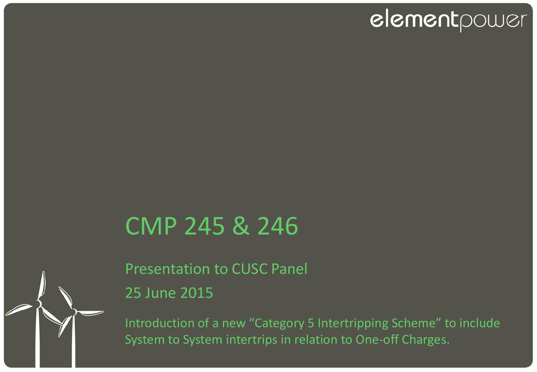## elementpower

## CMP 245 & 246

Presentation to CUSC Panel 25 June 2015

Introduction of a new "Category 5 Intertripping Scheme" to include System to System intertrips in relation to One-off Charges.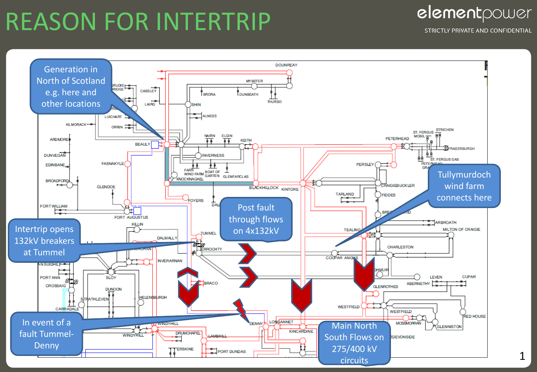# REASON FOR INTERTRIP

STRICTLY PRIVATE AND CONFIDENTIAL

elementpower

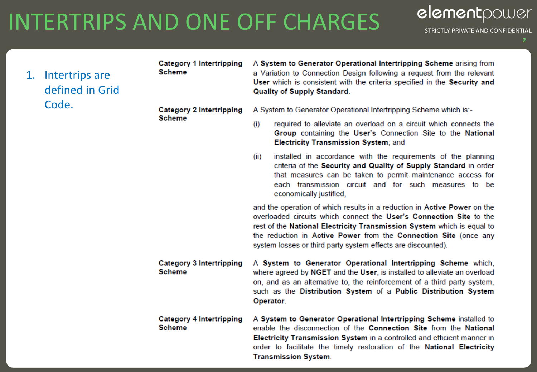## INTERTRIPS AND ONE OFF CHARGES

elementpower

STRICTLY PRIVATE AND CONFIDENTIAL

| 1. | Intertrips are<br>defined in Grid<br>Code. | <b>Category 1 Intertripping</b><br>Scheme        | A System to Generator Operational Intertripping Scheme arising from<br>a Variation to Connection Design following a request from the relevant<br>User which is consistent with the criteria specified in the Security and<br><b>Quality of Supply Standard.</b>                                                                                               |                                                                                                                                                                                                                                                                                                                              |
|----|--------------------------------------------|--------------------------------------------------|---------------------------------------------------------------------------------------------------------------------------------------------------------------------------------------------------------------------------------------------------------------------------------------------------------------------------------------------------------------|------------------------------------------------------------------------------------------------------------------------------------------------------------------------------------------------------------------------------------------------------------------------------------------------------------------------------|
|    |                                            | <b>Category 2 Intertripping</b><br><b>Scheme</b> | A System to Generator Operational Intertripping Scheme which is:-                                                                                                                                                                                                                                                                                             |                                                                                                                                                                                                                                                                                                                              |
|    |                                            |                                                  | (i)                                                                                                                                                                                                                                                                                                                                                           | required to alleviate an overload on a circuit which connects the<br>Group containing the User's Connection Site to the National<br><b>Electricity Transmission System; and</b>                                                                                                                                              |
|    |                                            |                                                  | (ii)                                                                                                                                                                                                                                                                                                                                                          | installed in accordance with the requirements of the planning<br>criteria of the Security and Quality of Supply Standard in order<br>that measures can be taken to permit maintenance access for<br>each transmission circuit and for such measures to be<br>economically justified,                                         |
|    |                                            |                                                  | and the operation of which results in a reduction in Active Power on the<br>overloaded circuits which connect the User's Connection Site to the<br>rest of the National Electricity Transmission System which is equal to<br>the reduction in Active Power from the Connection Site (once any<br>system losses or third party system effects are discounted). |                                                                                                                                                                                                                                                                                                                              |
|    |                                            | <b>Category 3 Intertripping</b><br><b>Scheme</b> |                                                                                                                                                                                                                                                                                                                                                               | A System to Generator Operational Intertripping Scheme which,<br>where agreed by NGET and the User, is installed to alleviate an overload<br>on, and as an alternative to, the reinforcement of a third party system,<br>such as the Distribution System of a Public Distribution System<br>Operator.                        |
|    |                                            | <b>Category 4 Intertripping</b><br><b>Scheme</b> |                                                                                                                                                                                                                                                                                                                                                               | A System to Generator Operational Intertripping Scheme installed to<br>enable the disconnection of the Connection Site from the National<br>Electricity Transmission System in a controlled and efficient manner in<br>order to facilitate the timely restoration of the National Electricity<br><b>Transmission System.</b> |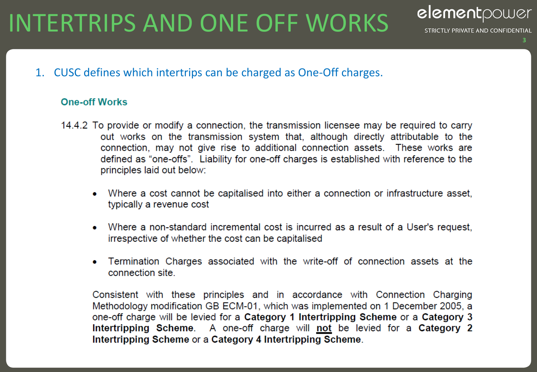# INTERTRIPS AND ONE OFF WORKS

### 1. CUSC defines which intertrips can be charged as One-Off charges.

#### **One-off Works**

- 14.4.2 To provide or modify a connection, the transmission licensee may be required to carry out works on the transmission system that, although directly attributable to the connection, may not give rise to additional connection assets. These works are defined as "one-offs". Liability for one-off charges is established with reference to the principles laid out below:
	- Where a cost cannot be capitalised into either a connection or infrastructure asset, typically a revenue cost
	- Where a non-standard incremental cost is incurred as a result of a User's request, irrespective of whether the cost can be capitalised
	- Termination Charges associated with the write-off of connection assets at the connection site.

Consistent with these principles and in accordance with Connection Charging Methodology modification GB ECM-01, which was implemented on 1 December 2005, a one-off charge will be levied for a Category 1 Intertripping Scheme or a Category 3 Intertripping Scheme. A one-off charge will not be levied for a Category 2 Intertripping Scheme or a Category 4 Intertripping Scheme.

elementpower

STRICTLY PRIVATE AND CONFIDENTIAL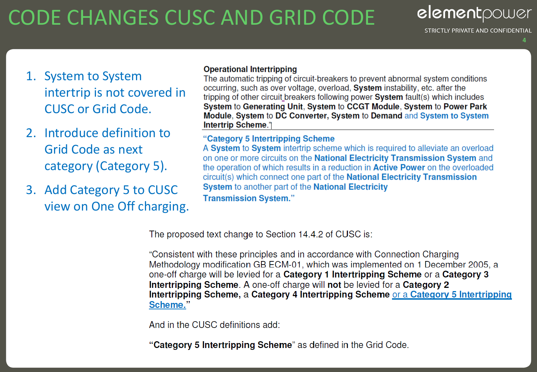## CODE CHANGES CUSC AND GRID CODE

**element**power STRICTLY PRIVATE AND CONFIDENTIAL

**4**

- 1. System to System intertrip is not covered in CUSC or Grid Code.
- 2. Introduce definition to Grid Code as next category (Category 5).
- 3. Add Category 5 to CUSC view on One Off charging.

#### **Operational Intertripping**

The automatic tripping of circuit-breakers to prevent abnormal system conditions occurring, such as over voltage, overload, System instability, etc. after the tripping of other circuit breakers following power System fault(s) which includes System to Generating Unit, System to CCGT Module, System to Power Park Module, System to DC Converter, System to Demand and System to System Intertrip Scheme."

#### "Category 5 Intertripping Scheme

A System to System intertrip scheme which is required to alleviate an overload on one or more circuits on the National Electricity Transmission System and the operation of which results in a reduction in **Active Power** on the overloaded circuit(s) which connect one part of the National Electricity Transmission System to another part of the National Electricity **Transmission System."** 

The proposed text change to Section 14.4.2 of CUSC is:

"Consistent with these principles and in accordance with Connection Charging Methodology modification GB ECM-01, which was implemented on 1 December 2005, a one-off charge will be levied for a Category 1 Intertripping Scheme or a Category 3 Intertripping Scheme. A one-off charge will not be levied for a Category 2 Intertripping Scheme, a Category 4 Intertripping Scheme or a Category 5 Intertripping Scheme."

And in the CUSC definitions add:

"Category 5 Intertripping Scheme" as defined in the Grid Code.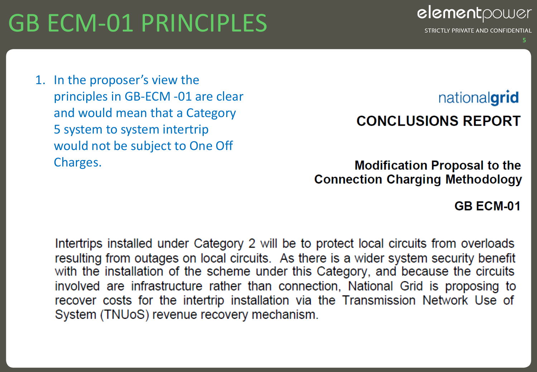# GB ECM -01 PRINCIPLES

1. In the proposer's view the principles in GB -ECM -01 are clear and would mean that a Category 5 system to system intertrip would not be subject to One Off Charges.

**Modification Proposal to the Connection Charging Methodology** 

**GB ECM-01** 

Intertrips installed under Category 2 will be to protect local circuits from overloads resulting from outages on local circuits. As there is a wider system security benefit with the installation of the scheme under this Category, and because the circuits involved are infrastructure rather than connection, National Grid is proposing to recover costs for the intertrip installation via the Transmission Network Use of System (TNUoS) revenue recovery mechanism.

nationalgrid **CONCLUSIONS REPORT** 

STRICTLY PRIVATE AND CONFIDENTIAL

**element**power

**5**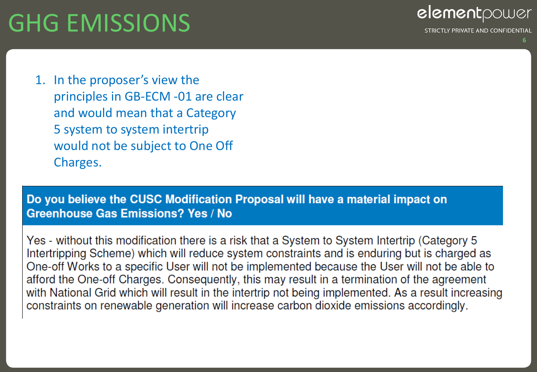# GHG EMISSIONS

elementpower

**STRICTLY PRIVATE AND CONFIDENTIAL** 

**6**

1. In the proposer's view the principles in GB -ECM -01 are clear and would mean that a Category 5 system to system intertrip would not be subject to One Off Charges.

Do you believe the CUSC Modification Proposal will have a material impact on **Greenhouse Gas Emissions? Yes / No** 

Yes - without this modification there is a risk that a System to System Intertrip (Category 5 Intertripping Scheme) which will reduce system constraints and is enduring but is charged as One-off Works to a specific User will not be implemented because the User will not be able to afford the One-off Charges. Consequently, this may result in a termination of the agreement with National Grid which will result in the intertrip not being implemented. As a result increasing constraints on renewable generation will increase carbon dioxide emissions accordingly.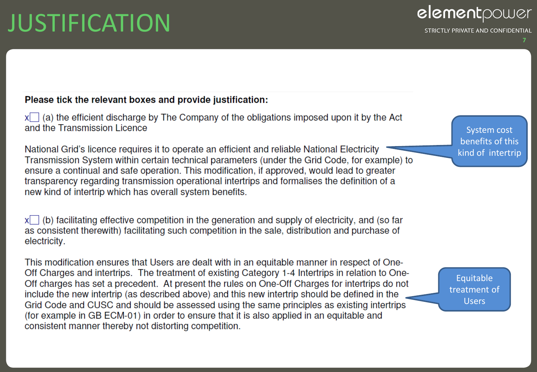# JUSTIFICATION

### elementpower

**7**

#### Please tick the relevant boxes and provide justification:

 $x$  (a) the efficient discharge by The Company of the obligations imposed upon it by the Act and the Transmission Licence

National Grid's licence requires it to operate an efficient and reliable National Electricity Transmission System within certain technical parameters (under the Grid Code, for example) to ensure a continual and safe operation. This modification, if approved, would lead to greater transparency regarding transmission operational intertrips and formalises the definition of a new kind of intertrip which has overall system benefits.

 $x$  (b) facilitating effective competition in the generation and supply of electricity, and (so far as consistent therewith) facilitating such competition in the sale, distribution and purchase of electricity.

This modification ensures that Users are dealt with in an equitable manner in respect of One-Off Charges and intertrips. The treatment of existing Category 1-4 Intertrips in relation to One-Off charges has set a precedent. At present the rules on One-Off Charges for intertrips do not include the new intertrip (as described above) and this new intertrip should be defined in the Grid Code and CUSC and should be assessed using the same principles as existing intertrips (for example in GB ECM-01) in order to ensure that it is also applied in an equitable and consistent manner thereby not distorting competition.

System cost benefits of this kind of intertrip

Equitable treatment of Users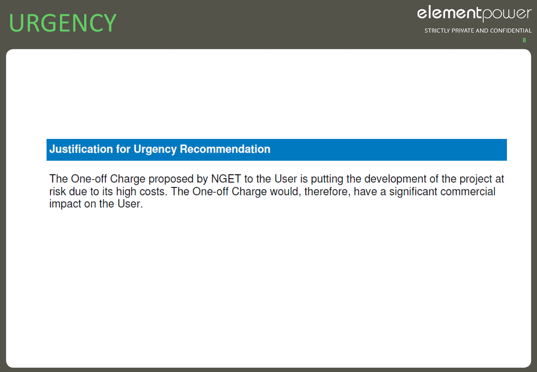## **URGENCY**

### **Justification for Urgency Recommendation**

The One-off Charge proposed by NGET to the User is putting the development of the project at risk due to its high costs. The One-off Charge would, therefore, have a significant commercial impact on the User.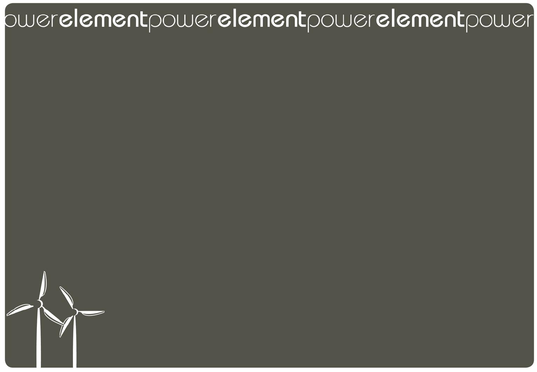# owerelementpowerelementpowerelementpower

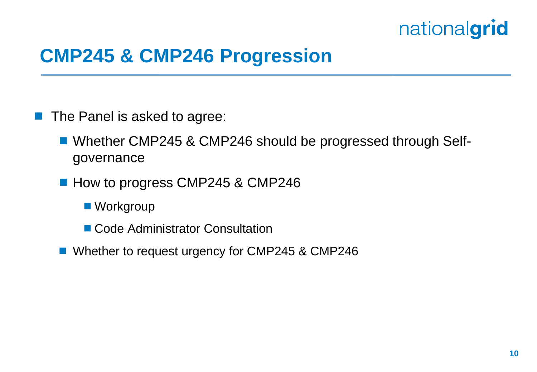

### **CMP245 & CMP246 Progression**

- **The Panel is asked to agree:** 
	- Whether CMP245 & CMP246 should be progressed through Selfgovernance
	- How to progress CMP245 & CMP246
		- Workgroup
		- Code Administrator Consultation
	- Whether to request urgency for CMP245 & CMP246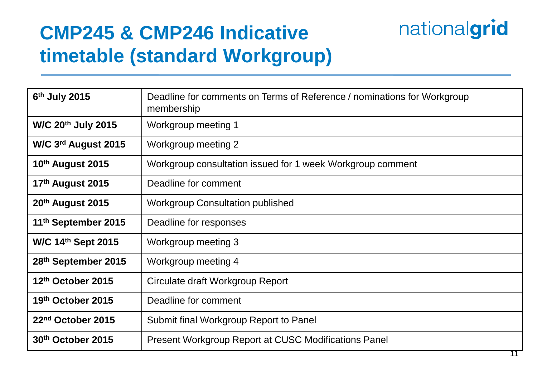## **CMP245 & CMP246 Indicative timetable (standard Workgroup)**



| 19th October 2015             | Deadline for comment                                 |
|-------------------------------|------------------------------------------------------|
| 22 <sup>nd</sup> October 2015 | Submit final Workgroup Report to Panel               |
| 30th October 2015             | Present Workgroup Report at CUSC Modifications Panel |
|                               |                                                      |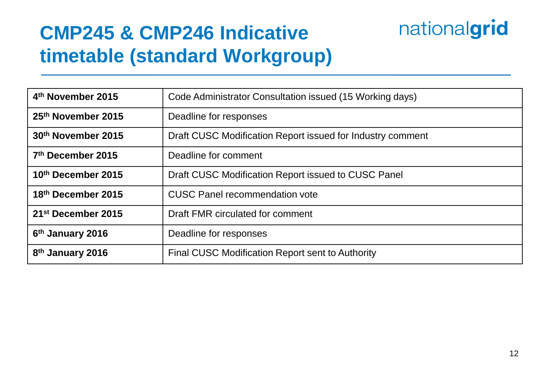## **CMP245 & CMP246 Indicative timetable (standard Workgroup)**

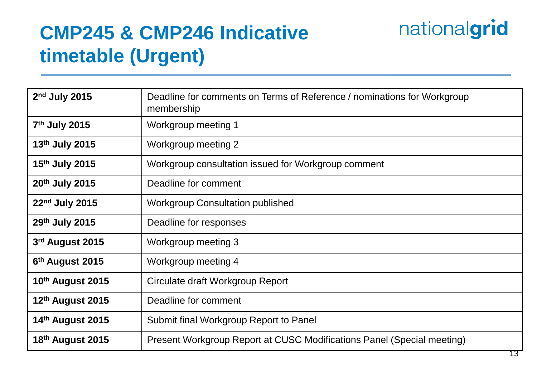### **CMP245 & CMP246 Indicative timetable (Urgent)**

### 2<sup>nd</sup> July 2015 Deadline for comments on Terms of Reference / nominations for Workgroup membership 7<sup>th</sup> July 2015 **Workgroup meeting 1 13th July 2015** Workgroup meeting 2 **15th July 2015** Workgroup consultation issued for Workgroup comment **20th July 2015** Deadline for comment **22nd July 2015** Workgroup Consultation published **29th July 2015** Deadline for responses 3rd August 2015 **Workgroup meeting 3 6th August 2015 Workgroup meeting 4 10th August 2015** Circulate draft Workgroup Report **12th August 2015** Deadline for comment **14th August 2015** Submit final Workgroup Report to Panel **18th August 2015** Present Workgroup Report at CUSC Modifications Panel (Special meeting)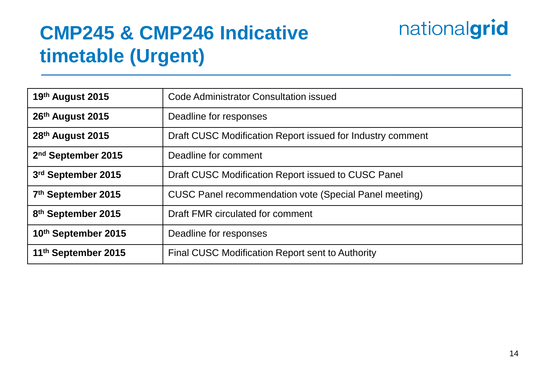## **CMP245 & CMP246 Indicative timetable (Urgent)**